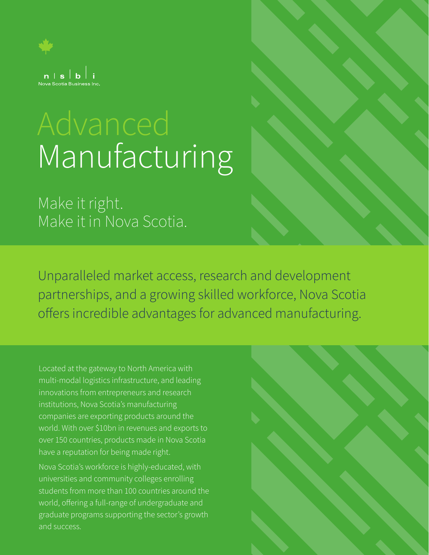

# Manufacturing

Make it right. Make it in Nova Scotia.

Unparalleled market access, research and development partnerships, and a growing skilled workforce, Nova Scotia offers incredible advantages for advanced manufacturing.

Located at the gateway to North America with multi-modal logistics infrastructure, and leading innovations from entrepreneurs and research institutions, Nova Scotia's manufacturing companies are exporting products around the world. With over \$10bn in revenues and exports to over 150 countries, products made in Nova Scotia have a reputation for being made right.

Nova Scotia's workforce is highly-educated, with universities and community colleges enrolling students from more than 100 countries around the world, offering a full-range of undergraduate and graduate programs supporting the sector's growth and success.